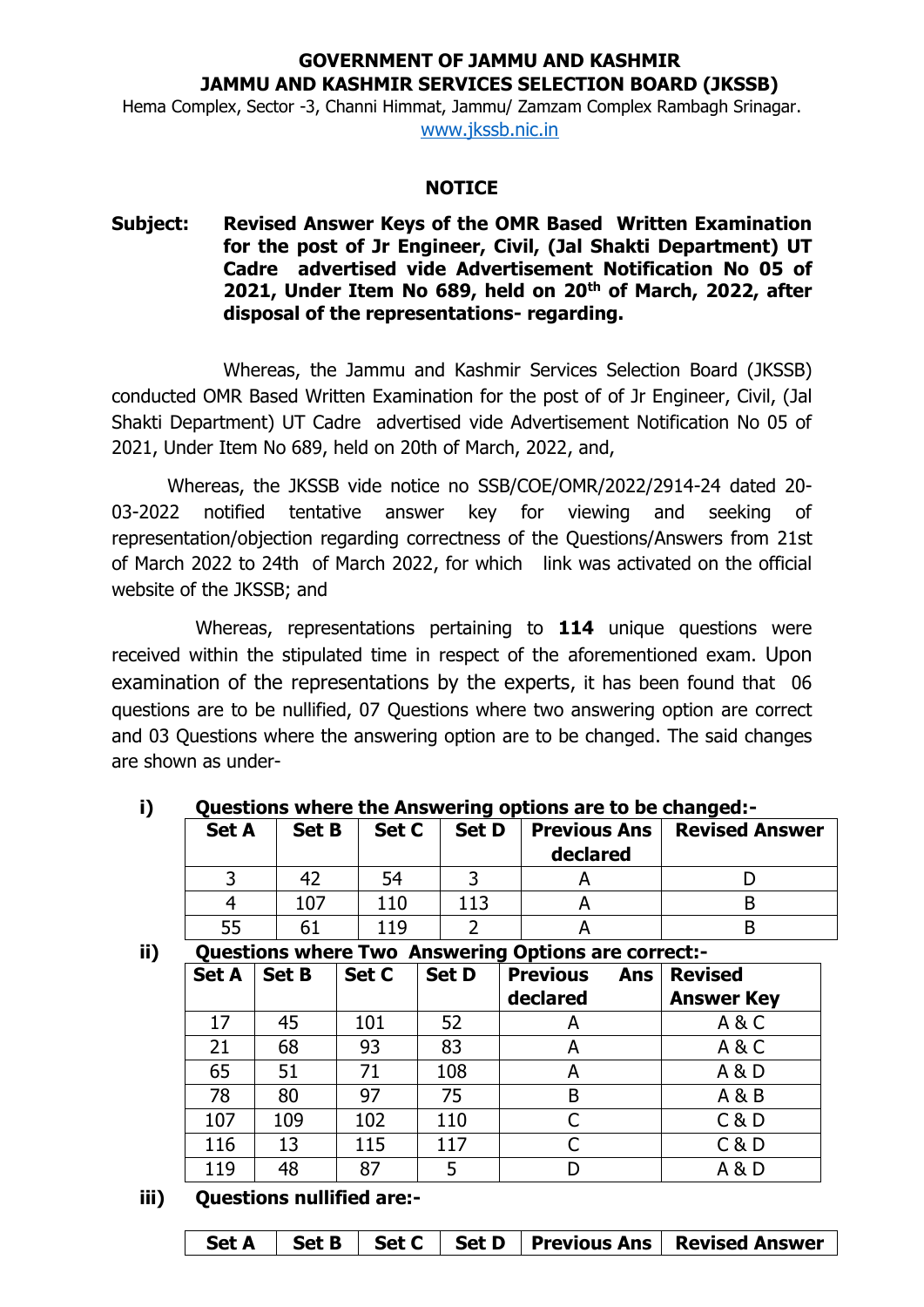## **GOVERNMENT OF JAMMU AND KASHMIR JAMMU AND KASHMIR SERVICES SELECTION BOARD (JKSSB)**

Hema Complex, Sector -3, Channi Himmat, Jammu/ Zamzam Complex Rambagh Srinagar. [www.jkssb.nic.in](http://www.jkssb.nic.in/)

#### **NOTICE**

## **Subject: Revised Answer Keys of the OMR Based Written Examination for the post of Jr Engineer, Civil, (Jal Shakti Department) UT Cadre advertised vide Advertisement Notification No 05 of 2021, Under Item No 689, held on 20th of March, 2022, after disposal of the representations- regarding.**

Whereas, the Jammu and Kashmir Services Selection Board (JKSSB) conducted OMR Based Written Examination for the post of of Jr Engineer, Civil, (Jal Shakti Department) UT Cadre advertised vide Advertisement Notification No 05 of 2021, Under Item No 689, held on 20th of March, 2022, and,

Whereas, the JKSSB vide notice no SSB/COE/OMR/2022/2914-24 dated 20- 03-2022 notified tentative answer key for viewing and seeking of representation/objection regarding correctness of the Questions/Answers from 21st of March 2022 to 24th of March 2022, for which link was activated on the official website of the JKSSB; and

Whereas, representations pertaining to **114** unique questions were received within the stipulated time in respect of the aforementioned exam. Upon examination of the representations by the experts, it has been found that 06 questions are to be nullified, 07 Questions where two answering option are correct and 03 Questions where the answering option are to be changed. The said changes are shown as under-

| Vacstions which the Answering options are to be changed. |              |       |              |                                 |                       |  |
|----------------------------------------------------------|--------------|-------|--------------|---------------------------------|-----------------------|--|
| <b>Set A</b>                                             | <b>Set B</b> | Set C | <b>Set D</b> | <b>Previous Ans</b><br>declared | <b>Revised Answer</b> |  |
|                                                          |              |       |              |                                 |                       |  |
|                                                          | 107          | 110   | 113          |                                 |                       |  |
|                                                          | 61           | 119   |              |                                 |                       |  |

# **i) Questions where the Answering options are to be changed:-**

#### **ii) Questions where Two Answering Options are correct:**

| Questions where Two Answering Options are correct:- |              |       |              |                            |                   |  |  |
|-----------------------------------------------------|--------------|-------|--------------|----------------------------|-------------------|--|--|
| <b>Set A</b>                                        | <b>Set B</b> | Set C | <b>Set D</b> | <b>Previous</b><br>Ans $ $ | <b>Revised</b>    |  |  |
|                                                     |              |       |              | declared                   | <b>Answer Key</b> |  |  |
| 17                                                  | 45           | 101   | 52           | A                          | A&C               |  |  |
| 21                                                  | 68           | 93    | 83           | A                          | A&C               |  |  |
| 65                                                  | 51           | 71    | 108          | A                          | A & D             |  |  |
| 78                                                  | 80           | 97    | 75           | B                          | A & B             |  |  |
| 107                                                 | 109          | 102   | 110          | C                          | C & D             |  |  |
| 116                                                 | 13           | 115   | 117          | $\mathsf{C}$               | C & D             |  |  |
| 119                                                 | 48           | 87    | 5            |                            | A & D             |  |  |

**iii) Questions nullified are:-**

|  |  |  |  |  | Set A   Set B   Set C   Set D   Previous Ans   Revised Answer |
|--|--|--|--|--|---------------------------------------------------------------|
|--|--|--|--|--|---------------------------------------------------------------|